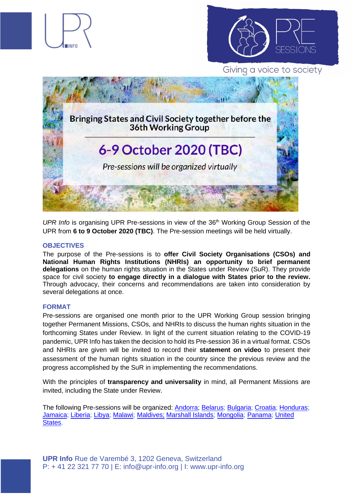

UPR Info is organising UPR Pre-sessions in view of the 36<sup>th</sup> Working Group Session of the UPR from **6 to 9 October 2020 (TBC)**. The Pre-session meetings will be held virtually.

## **OBJECTIVES**

The purpose of the Pre-sessions is to **offer Civil Society Organisations (CSOs) and National Human Rights Institutions (NHRIs) an opportunity to brief permanent delegations** on the human rights situation in the States under Review (SuR). They provide space for civil society **to engage directly in a dialogue with States prior to the review.**  Through advocacy, their concerns and recommendations are taken into consideration by several delegations at once.

## **FORMAT**

Pre-sessions are organised one month prior to the UPR Working Group session bringing together Permanent Missions, CSOs, and NHRIs to discuss the human rights situation in the forthcoming States under Review. In light of the current situation relating to the COVID-19 pandemic, UPR Info has taken the decision to hold its Pre-session 36 in a virtual format. CSOs and NHRIs are given will be invited to record their **statement on video** to present their assessment of the human rights situation in the country since the previous review and the progress accomplished by the SuR in implementing the recommendations.

With the principles of **transparency and universality** in mind, all Permanent Missions are invited, including the State under Review.

The following Pre-sessions will be organized: [Andorra;](https://www.upr-info.org/en/review/Andorra) [Belarus;](https://www.upr-info.org/en/review/Belarus) [Bulgaria;](https://www.upr-info.org/en/review/Bulgaria) [Croatia;](https://www.upr-info.org/en/review/Croatia) [Honduras;](https://www.upr-info.org/en/review/Honduras) [Jamaica;](https://www.upr-info.org/en/review/Jamaica) [Liberia;](https://www.upr-info.org/en/review/Liberia) [Libya;](https://www.upr-info.org/en/review/Libya) [Malawi;](https://www.upr-info.org/en/review/Malawi) [Maldives;](https://www.upr-info.org/en/review/Maldives) [Marshall Islands;](https://www.upr-info.org/en/review/Marshall-Islands) [Mongolia;](https://www.upr-info.org/en/review/Mongolia) [Panama;](https://www.upr-info.org/en/review/Panama) [United](https://www.upr-info.org/en/review/United-States)  [States.](https://www.upr-info.org/en/review/United-States)

**UPR Info** Rue de Varembé 3, 1202 Geneva, Switzerland P: + 41 22 321 77 70 | E: info@upr-info.org | I: www.upr-info.org